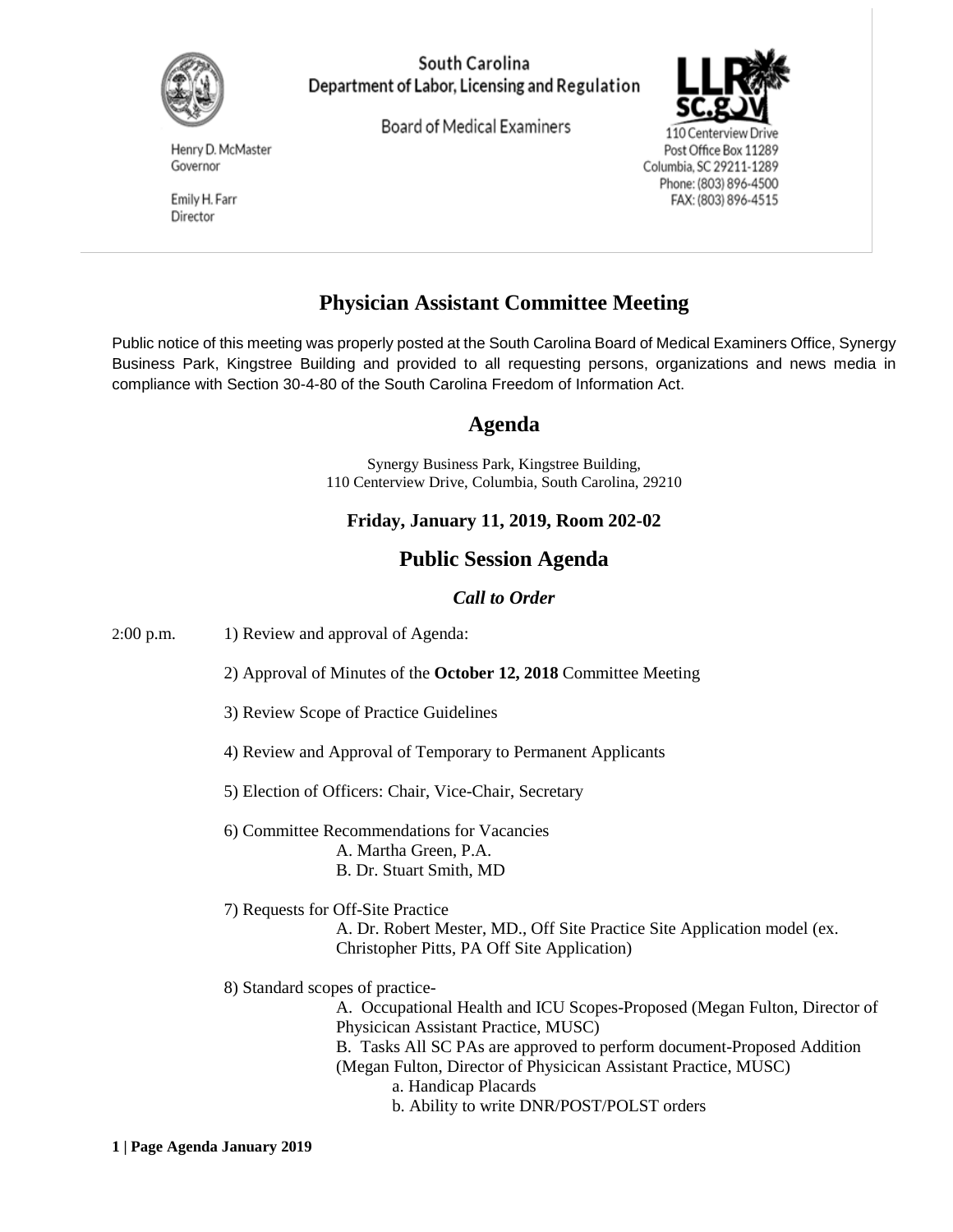

#### South Carolina Department of Labor, Licensing and Regulation

Board of Medical Examiners



110 Centerview Drive Post Office Box 11289 Columbia, SC 29211-1289 Phone: (803) 896-4500 FAX: (803) 896-4515

Henry D. McMaster Governor

Emily H. Farr Director

# **Physician Assistant Committee Meeting**

Public notice of this meeting was properly posted at the South Carolina Board of Medical Examiners Office, Synergy Business Park, Kingstree Building and provided to all requesting persons, organizations and news media in compliance with Section 30-4-80 of the South Carolina Freedom of Information Act.

# **Agenda**

Synergy Business Park, Kingstree Building, 110 Centerview Drive, Columbia, South Carolina, 29210

## **Friday, January 11, 2019, Room 202-02**

# **Public Session Agenda**

#### *Call to Order*

2:00 p.m. 1) Review and approval of Agenda:

2) Approval of Minutes of the **October 12, 2018** Committee Meeting

- 3) Review Scope of Practice Guidelines
- 4) Review and Approval of Temporary to Permanent Applicants
- 5) Election of Officers: Chair, Vice-Chair, Secretary
- 6) Committee Recommendations for Vacancies A. Martha Green, P.A. B. Dr. Stuart Smith, MD

7) Requests for Off-Site Practice A. Dr. Robert Mester, MD., Off Site Practice Site Application model (ex. Christopher Pitts, PA Off Site Application)

8) Standard scopes of practice-

A. Occupational Health and ICU Scopes-Proposed (Megan Fulton, Director of Physicican Assistant Practice, MUSC) B. Tasks All SC PAs are approved to perform document-Proposed Addition (Megan Fulton, Director of Physicican Assistant Practice, MUSC) a. Handicap Placards b. Ability to write DNR/POST/POLST orders